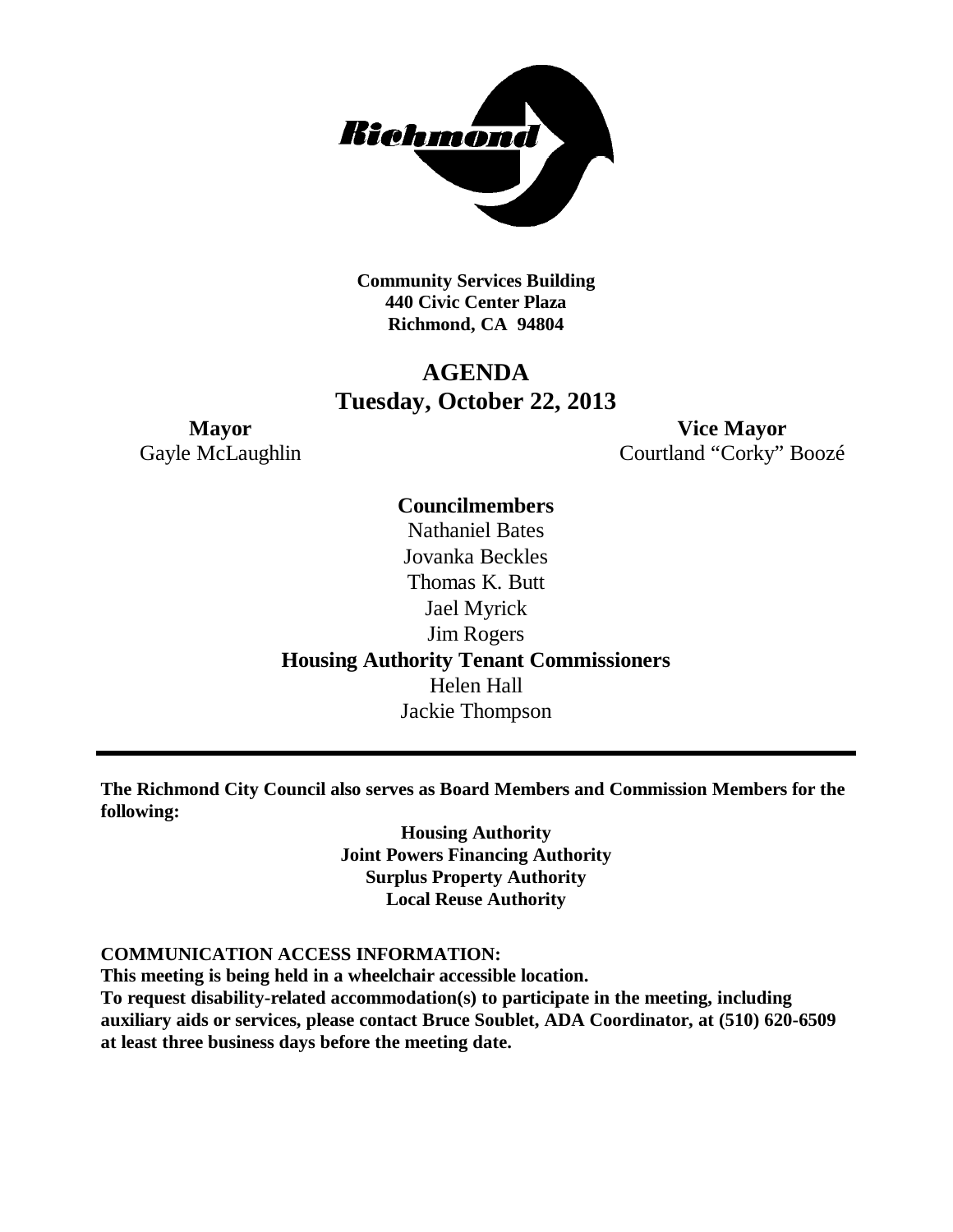

**Community Services Building 440 Civic Center Plaza Richmond, CA 94804**

### **AGENDA Tuesday, October 22, 2013**

**Mayor Vice Mayor** Gayle McLaughlin Courtland "Corky" Boozé

## **Councilmembers**

Nathaniel Bates Jovanka Beckles Thomas K. Butt Jael Myrick Jim Rogers **Housing Authority Tenant Commissioners** Helen Hall Jackie Thompson

**The Richmond City Council also serves as Board Members and Commission Members for the following:**

> **Housing Authority Joint Powers Financing Authority Surplus Property Authority Local Reuse Authority**

### **COMMUNICATION ACCESS INFORMATION:**

**This meeting is being held in a wheelchair accessible location.**

**To request disability-related accommodation(s) to participate in the meeting, including auxiliary aids or services, please contact Bruce Soublet, ADA Coordinator, at (510) 620-6509 at least three business days before the meeting date.**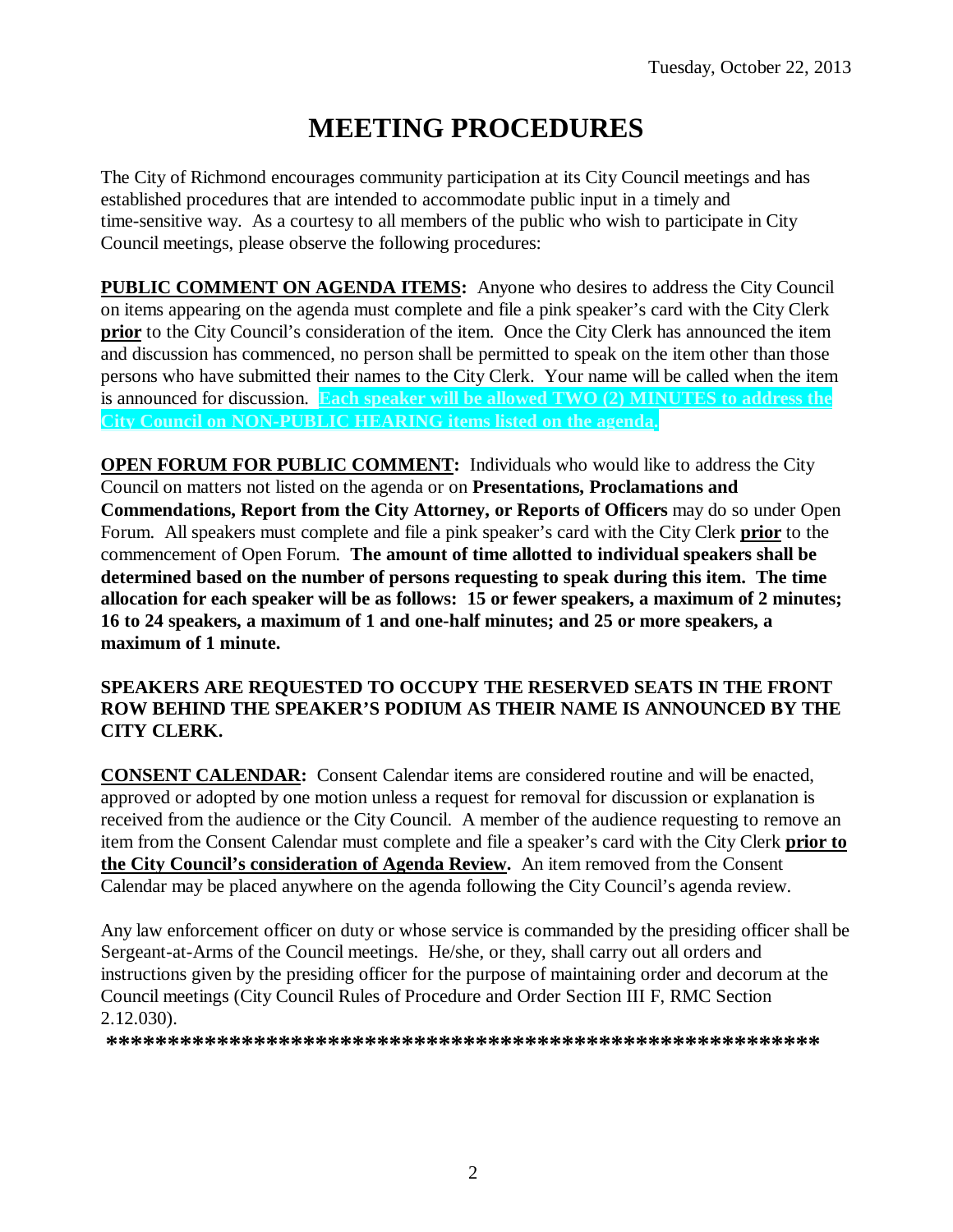# **MEETING PROCEDURES**

The City of Richmond encourages community participation at its City Council meetings and has established procedures that are intended to accommodate public input in a timely and time-sensitive way. As a courtesy to all members of the public who wish to participate in City Council meetings, please observe the following procedures:

**PUBLIC COMMENT ON AGENDA ITEMS:** Anyone who desires to address the City Council on items appearing on the agenda must complete and file a pink speaker's card with the City Clerk **prior** to the City Council's consideration of the item. Once the City Clerk has announced the item and discussion has commenced, no person shall be permitted to speak on the item other than those persons who have submitted their names to the City Clerk. Your name will be called when the item is announced for discussion. **Each speaker will be allowed TWO (2) MINUTES to address the City Council on NON-PUBLIC HEARING items listed on the agenda.**

**OPEN FORUM FOR PUBLIC COMMENT:** Individuals who would like to address the City Council on matters not listed on the agenda or on **Presentations, Proclamations and Commendations, Report from the City Attorney, or Reports of Officers** may do so under Open Forum. All speakers must complete and file a pink speaker's card with the City Clerk **prior** to the commencement of Open Forum. **The amount of time allotted to individual speakers shall be determined based on the number of persons requesting to speak during this item. The time allocation for each speaker will be as follows: 15 or fewer speakers, a maximum of 2 minutes; 16 to 24 speakers, a maximum of 1 and one-half minutes; and 25 or more speakers, a maximum of 1 minute.**

### **SPEAKERS ARE REQUESTED TO OCCUPY THE RESERVED SEATS IN THE FRONT ROW BEHIND THE SPEAKER'S PODIUM AS THEIR NAME IS ANNOUNCED BY THE CITY CLERK.**

**CONSENT CALENDAR:** Consent Calendar items are considered routine and will be enacted, approved or adopted by one motion unless a request for removal for discussion or explanation is received from the audience or the City Council. A member of the audience requesting to remove an item from the Consent Calendar must complete and file a speaker's card with the City Clerk **prior to the City Council's consideration of Agenda Review.** An item removed from the Consent Calendar may be placed anywhere on the agenda following the City Council's agenda review.

Any law enforcement officer on duty or whose service is commanded by the presiding officer shall be Sergeant-at-Arms of the Council meetings. He/she, or they, shall carry out all orders and instructions given by the presiding officer for the purpose of maintaining order and decorum at the Council meetings (City Council Rules of Procedure and Order Section III F, RMC Section 2.12.030).

**\*\*\*\*\*\*\*\*\*\*\*\*\*\*\*\*\*\*\*\*\*\*\*\*\*\*\*\*\*\*\*\*\*\*\*\*\*\*\*\*\*\*\*\*\*\*\*\*\*\*\*\*\*\*\*\*\*\***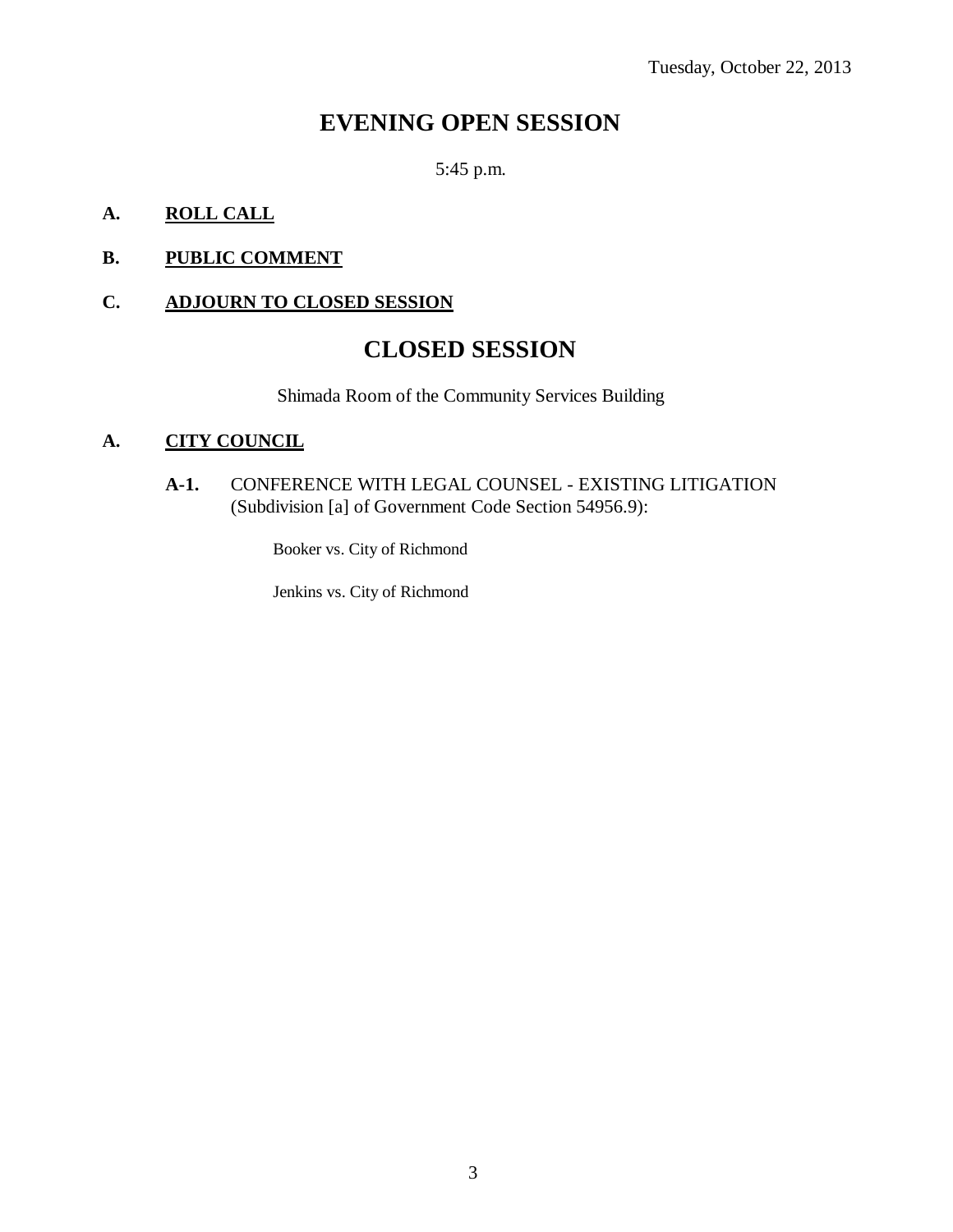### **EVENING OPEN SESSION**

5:45 p.m.

### **A. ROLL CALL**

### **B. PUBLIC COMMENT**

### **C. ADJOURN TO CLOSED SESSION**

### **CLOSED SESSION**

Shimada Room of the Community Services Building

### **A. CITY COUNCIL**

**A-1.** CONFERENCE WITH LEGAL COUNSEL - EXISTING LITIGATION (Subdivision [a] of Government Code Section 54956.9):

Booker vs. City of Richmond

Jenkins vs. City of Richmond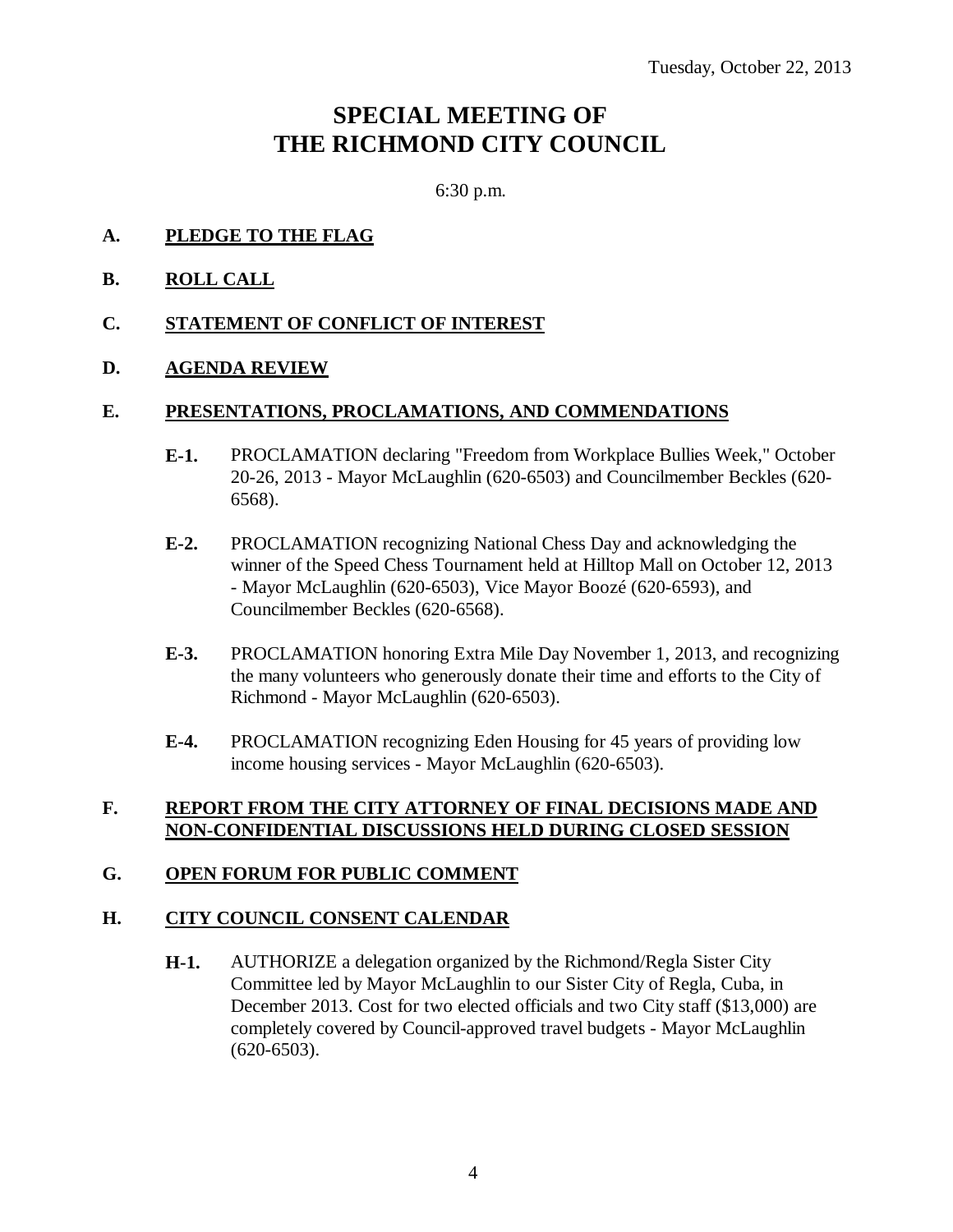### **SPECIAL MEETING OF THE RICHMOND CITY COUNCIL**

6:30 p.m.

- **A. PLEDGE TO THE FLAG**
- **B. ROLL CALL**

### **C. STATEMENT OF CONFLICT OF INTEREST**

### **D. AGENDA REVIEW**

### **E. PRESENTATIONS, PROCLAMATIONS, AND COMMENDATIONS**

- **E-1.** PROCLAMATION declaring "Freedom from Workplace Bullies Week," October 20-26, 2013 - Mayor McLaughlin (620-6503) and Councilmember Beckles (620- 6568).
- **E-2.** PROCLAMATION recognizing National Chess Day and acknowledging the winner of the Speed Chess Tournament held at Hilltop Mall on October 12, 2013 - Mayor McLaughlin (620-6503), Vice Mayor Boozé (620-6593), and Councilmember Beckles (620-6568).
- **E-3.** PROCLAMATION honoring Extra Mile Day November 1, 2013, and recognizing the many volunteers who generously donate their time and efforts to the City of Richmond - Mayor McLaughlin (620-6503).
- **E-4.** PROCLAMATION recognizing Eden Housing for 45 years of providing low income housing services - Mayor McLaughlin (620-6503).

### **F. REPORT FROM THE CITY ATTORNEY OF FINAL DECISIONS MADE AND NON-CONFIDENTIAL DISCUSSIONS HELD DURING CLOSED SESSION**

### **G. OPEN FORUM FOR PUBLIC COMMENT**

### **H. CITY COUNCIL CONSENT CALENDAR**

**H-1.** AUTHORIZE a delegation organized by the Richmond/Regla Sister City Committee led by Mayor McLaughlin to our Sister City of Regla, Cuba, in December 2013. Cost for two elected officials and two City staff (\$13,000) are completely covered by Council-approved travel budgets - Mayor McLaughlin (620-6503).